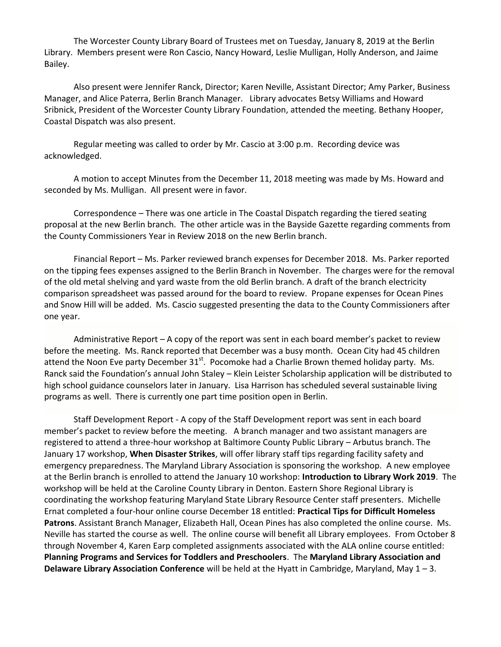The Worcester County Library Board of Trustees met on Tuesday, January 8, 2019 at the Berlin Library. Members present were Ron Cascio, Nancy Howard, Leslie Mulligan, Holly Anderson, and Jaime Bailey.

Also present were Jennifer Ranck, Director; Karen Neville, Assistant Director; Amy Parker, Business Manager, and Alice Paterra, Berlin Branch Manager. Library advocates Betsy Williams and Howard Sribnick, President of the Worcester County Library Foundation, attended the meeting. Bethany Hooper, Coastal Dispatch was also present.

Regular meeting was called to order by Mr. Cascio at 3:00 p.m. Recording device was acknowledged.

A motion to accept Minutes from the December 11, 2018 meeting was made by Ms. Howard and seconded by Ms. Mulligan. All present were in favor.

Correspondence – There was one article in The Coastal Dispatch regarding the tiered seating proposal at the new Berlin branch. The other article was in the Bayside Gazette regarding comments from the County Commissioners Year in Review 2018 on the new Berlin branch.

Financial Report – Ms. Parker reviewed branch expenses for December 2018. Ms. Parker reported on the tipping fees expenses assigned to the Berlin Branch in November. The charges were for the removal of the old metal shelving and yard waste from the old Berlin branch. A draft of the branch electricity comparison spreadsheet was passed around for the board to review. Propane expenses for Ocean Pines and Snow Hill will be added. Ms. Cascio suggested presenting the data to the County Commissioners after one year.

Administrative Report – A copy of the report was sent in each board member's packet to review before the meeting. Ms. Ranck reported that December was a busy month. Ocean City had 45 children attend the Noon Eve party December  $31<sup>st</sup>$ . Pocomoke had a Charlie Brown themed holiday party. Ms. Ranck said the Foundation's annual John Staley – Klein Leister Scholarship application will be distributed to high school guidance counselors later in January. Lisa Harrison has scheduled several sustainable living programs as well. There is currently one part time position open in Berlin.

Staff Development Report - A copy of the Staff Development report was sent in each board member's packet to review before the meeting. A branch manager and two assistant managers are registered to attend a three-hour workshop at Baltimore County Public Library – Arbutus branch. The January 17 workshop, **When Disaster Strikes**, will offer library staff tips regarding facility safety and emergency preparedness. The Maryland Library Association is sponsoring the workshop. A new employee at the Berlin branch is enrolled to attend the January 10 workshop: **Introduction to Library Work 2019**. The workshop will be held at the Caroline County Library in Denton. Eastern Shore Regional Library is coordinating the workshop featuring Maryland State Library Resource Center staff presenters. Michelle Ernat completed a four-hour online course December 18 entitled: **Practical Tips for Difficult Homeless Patrons**. Assistant Branch Manager, Elizabeth Hall, Ocean Pines has also completed the online course. Ms. Neville has started the course as well. The online course will benefit all Library employees. From October 8 through November 4, Karen Earp completed assignments associated with the ALA online course entitled: **Planning Programs and Services for Toddlers and Preschoolers**. The **Maryland Library Association and Delaware Library Association Conference** will be held at the Hyatt in Cambridge, Maryland, May 1 – 3.